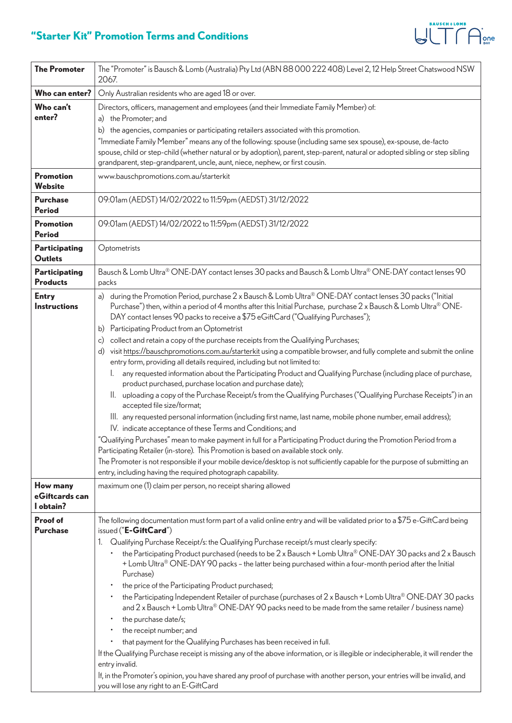## **"Starter Kit" Promotion Terms and Conditions**

| <b>The Promoter</b>                 | The "Promoter" is Bausch & Lomb (Australia) Pty Ltd (ABN 88 000 222 408) Level 2, 12 Help Street Chatswood NSW<br>2067.                                                                                                                                                                                              |
|-------------------------------------|----------------------------------------------------------------------------------------------------------------------------------------------------------------------------------------------------------------------------------------------------------------------------------------------------------------------|
| Who can enter?                      | Only Australian residents who are aged 18 or over.                                                                                                                                                                                                                                                                   |
| Who can't                           | Directors, officers, management and employees (and their Immediate Family Member) of:                                                                                                                                                                                                                                |
| enter?                              | a) the Promoter; and                                                                                                                                                                                                                                                                                                 |
|                                     | the agencies, companies or participating retailers associated with this promotion.<br>b)                                                                                                                                                                                                                             |
|                                     | "Immediate Family Member" means any of the following: spouse (including same sex spouse), ex-spouse, de-facto                                                                                                                                                                                                        |
|                                     | spouse, child or step-child (whether natural or by adoption), parent, step-parent, natural or adopted sibling or step sibling<br>grandparent, step-grandparent, uncle, aunt, niece, nephew, or first cousin.                                                                                                         |
| <b>Promotion</b>                    | www.bauschpromotions.com.au/starterkit                                                                                                                                                                                                                                                                               |
| <b>Website</b>                      |                                                                                                                                                                                                                                                                                                                      |
| <b>Purchase</b><br>Period           | 09:01am (AEDST) 14/02/2022 to 11:59pm (AEDST) 31/12/2022                                                                                                                                                                                                                                                             |
| <b>Promotion</b><br><b>Period</b>   | 09:01am (AEDST) 14/02/2022 to 11:59pm (AEDST) 31/12/2022                                                                                                                                                                                                                                                             |
| Participating<br><b>Outlets</b>     | Optometrists                                                                                                                                                                                                                                                                                                         |
| Participating<br><b>Products</b>    | Bausch & Lomb Ultra® ONE-DAY contact lenses 30 packs and Bausch & Lomb Ultra® ONE-DAY contact lenses 90<br>packs                                                                                                                                                                                                     |
| <b>Entry</b><br><b>Instructions</b> | a) during the Promotion Period, purchase 2 x Bausch & Lomb Ultra® ONE-DAY contact lenses 30 packs ("Initial<br>Purchase") then, within a period of 4 months after this Initial Purchase, purchase 2 x Bausch & Lomb Ultra® ONE-<br>DAY contact lenses 90 packs to receive a \$75 eGiftCard ("Qualifying Purchases"); |
|                                     | b) Participating Product from an Optometrist                                                                                                                                                                                                                                                                         |
|                                     | collect and retain a copy of the purchase receipts from the Qualifying Purchases;<br>$\mathsf{c})$                                                                                                                                                                                                                   |
|                                     | visit https://bauschpromotions.com.au/starterkit using a compatible browser, and fully complete and submit the online<br>d)<br>entry form, providing all details required, including but not limited to:                                                                                                             |
|                                     | any requested information about the Participating Product and Qualifying Purchase (including place of purchase,<br>I.                                                                                                                                                                                                |
|                                     | product purchased, purchase location and purchase date);                                                                                                                                                                                                                                                             |
|                                     | II. uploading a copy of the Purchase Receipt/s from the Qualifying Purchases ("Qualifying Purchase Receipts") in an<br>accepted file size/format;                                                                                                                                                                    |
|                                     | III. any requested personal information (including first name, last name, mobile phone number, email address);                                                                                                                                                                                                       |
|                                     | IV. indicate acceptance of these Terms and Conditions; and                                                                                                                                                                                                                                                           |
|                                     | "Qualifying Purchases" mean to make payment in full for a Participating Product during the Promotion Period from a<br>Participating Retailer (in-store). This Promotion is based on available stock only.                                                                                                            |
|                                     | The Promoter is not responsible if your mobile device/desktop is not sufficiently capable for the purpose of submitting an                                                                                                                                                                                           |
|                                     | entry, including having the required photograph capability.                                                                                                                                                                                                                                                          |
| How many                            | maximum one (1) claim per person, no receipt sharing allowed                                                                                                                                                                                                                                                         |
| eGiftcards can                      |                                                                                                                                                                                                                                                                                                                      |
| l obtain?                           |                                                                                                                                                                                                                                                                                                                      |
| Proof of<br><b>Purchase</b>         | The following documentation must form part of a valid online entry and will be validated prior to a \$75 e-GiftCard being<br>issued ("E-GiftCard")                                                                                                                                                                   |
|                                     | 1. Qualifying Purchase Receipt/s: the Qualifying Purchase receipt/s must clearly specify:                                                                                                                                                                                                                            |
|                                     | the Participating Product purchased (needs to be 2 x Bausch + Lomb Ultra® ONE-DAY 30 packs and 2 x Bausch<br>$\bullet$                                                                                                                                                                                               |
|                                     | + Lomb Ultra® ONE-DAY 90 packs – the latter being purchased within a four-month period after the Initial                                                                                                                                                                                                             |
|                                     | Purchase)<br>$\bullet$                                                                                                                                                                                                                                                                                               |
|                                     | the price of the Participating Product purchased;<br>the Participating Independent Retailer of purchase (purchases of $2 \times$ Bausch + Lomb Ultra® ONE-DAY 30 packs                                                                                                                                               |
|                                     | and 2 x Bausch + Lomb Ultra® ONE-DAY 90 packs need to be made from the same retailer / business name)                                                                                                                                                                                                                |
|                                     | the purchase date/s;<br>٠                                                                                                                                                                                                                                                                                            |
|                                     | the receipt number; and<br>٠                                                                                                                                                                                                                                                                                         |
|                                     | that payment for the Qualifying Purchases has been received in full.<br>٠                                                                                                                                                                                                                                            |
|                                     | If the Qualifying Purchase receipt is missing any of the above information, or is illegible or indecipherable, it will render the<br>entry invalid.                                                                                                                                                                  |
|                                     | If, in the Promoter's opinion, you have shared any proof of purchase with another person, your entries will be invalid, and                                                                                                                                                                                          |
|                                     | you will lose any right to an E-GiftCard                                                                                                                                                                                                                                                                             |

 $\bigotimes^{\text{BAVSCH+LOMB}} \bigoplus\nolimits^{\circ}_{\text{DNP}}$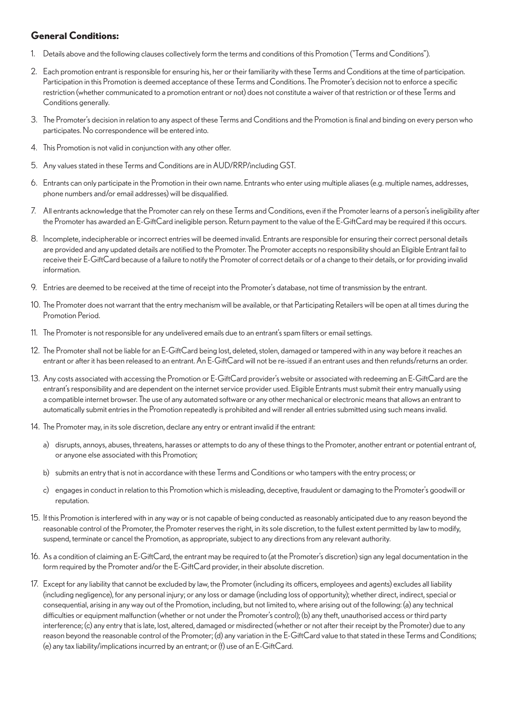## **General Conditions:**

- 1. Details above and the following clauses collectively form the terms and conditions of this Promotion ("Terms and Conditions").
- 2. Each promotion entrant is responsible for ensuring his, her or their familiarity with these Terms and Conditions at the time of participation. Participation in this Promotion is deemed acceptance of these Terms and Conditions. The Promoter's decision not to enforce a specific restriction (whether communicated to a promotion entrant or not) does not constitute a waiver of that restriction or of these Terms and Conditions generally.
- 3. The Promoter's decision in relation to any aspect of these Terms and Conditions and the Promotion is final and binding on every person who participates. No correspondence will be entered into.
- 4. This Promotion is not valid in conjunction with any other offer.
- 5. Any values stated in these Terms and Conditions are in AUD/RRP/including GST.
- 6. Entrants can only participate in the Promotion in their own name. Entrants who enter using multiple aliases (e.g. multiple names, addresses, phone numbers and/or email addresses) will be disqualified.
- 7. All entrants acknowledge that the Promoter can rely on these Terms and Conditions, even if the Promoter learns of a person's ineligibility after the Promoter has awarded an E-GiftCard ineligible person. Return payment to the value of the E-GiftCard may be required if this occurs.
- 8. Incomplete, indecipherable or incorrect entries will be deemed invalid. Entrants are responsible for ensuring their correct personal details are provided and any updated details are notified to the Promoter. The Promoter accepts no responsibility should an Eligible Entrant fail to receive their E-GiftCard because of a failure to notify the Promoter of correct details or of a change to their details, or for providing invalid information.
- 9. Entries are deemed to be received at the time of receipt into the Promoter's database, not time of transmission by the entrant.
- 10. The Promoter does not warrant that the entry mechanism will be available, or that Participating Retailers will be open at all times during the Promotion Period.
- 11. The Promoter is not responsible for any undelivered emails due to an entrant's spam filters or email settings.
- 12. The Promoter shall not be liable for an E-GiftCard being lost, deleted, stolen, damaged or tampered with in any way before it reaches an entrant or after it has been released to an entrant. An E-GiftCard will not be re-issued if an entrant uses and then refunds/returns an order.
- 13. Any costs associated with accessing the Promotion or E-GiftCard provider's website or associated with redeeming an E-GiftCard are the entrant's responsibility and are dependent on the internet service provider used. Eligible Entrants must submit their entry manually using a compatible internet browser. The use of any automated software or any other mechanical or electronic means that allows an entrant to automatically submit entries in the Promotion repeatedly is prohibited and will render all entries submitted using such means invalid.
- 14. The Promoter may, in its sole discretion, declare any entry or entrant invalid if the entrant:
	- a) disrupts, annoys, abuses, threatens, harasses or attempts to do any of these things to the Promoter, another entrant or potential entrant of, or anyone else associated with this Promotion;
	- b) submits an entry that is not in accordance with these Terms and Conditions or who tampers with the entry process; or
	- c) engages in conduct in relation to this Promotion which is misleading, deceptive, fraudulent or damaging to the Promoter's goodwill or reputation.
- 15. If this Promotion is interfered with in any way or is not capable of being conducted as reasonably anticipated due to any reason beyond the reasonable control of the Promoter, the Promoter reserves the right, in its sole discretion, to the fullest extent permitted by law to modify, suspend, terminate or cancel the Promotion, as appropriate, subject to any directions from any relevant authority.
- 16. As a condition of claiming an E-GiftCard, the entrant may be required to (at the Promoter's discretion) sign any legal documentation in the form required by the Promoter and/or the E-GiftCard provider, in their absolute discretion.
- 17. Except for any liability that cannot be excluded by law, the Promoter (including its officers, employees and agents) excludes all liability (including negligence), for any personal injury; or any loss or damage (including loss of opportunity); whether direct, indirect, special or consequential, arising in any way out of the Promotion, including, but not limited to, where arising out of the following: (a) any technical difficulties or equipment malfunction (whether or not under the Promoter's control); (b) any theft, unauthorised access or third party interference; (c) any entry that is late, lost, altered, damaged or misdirected (whether or not after their receipt by the Promoter) due to any reason beyond the reasonable control of the Promoter; (d) any variation in the E-GiftCard value to that stated in these Terms and Conditions; (e) any tax liability/implications incurred by an entrant; or (f) use of an E-GiftCard.